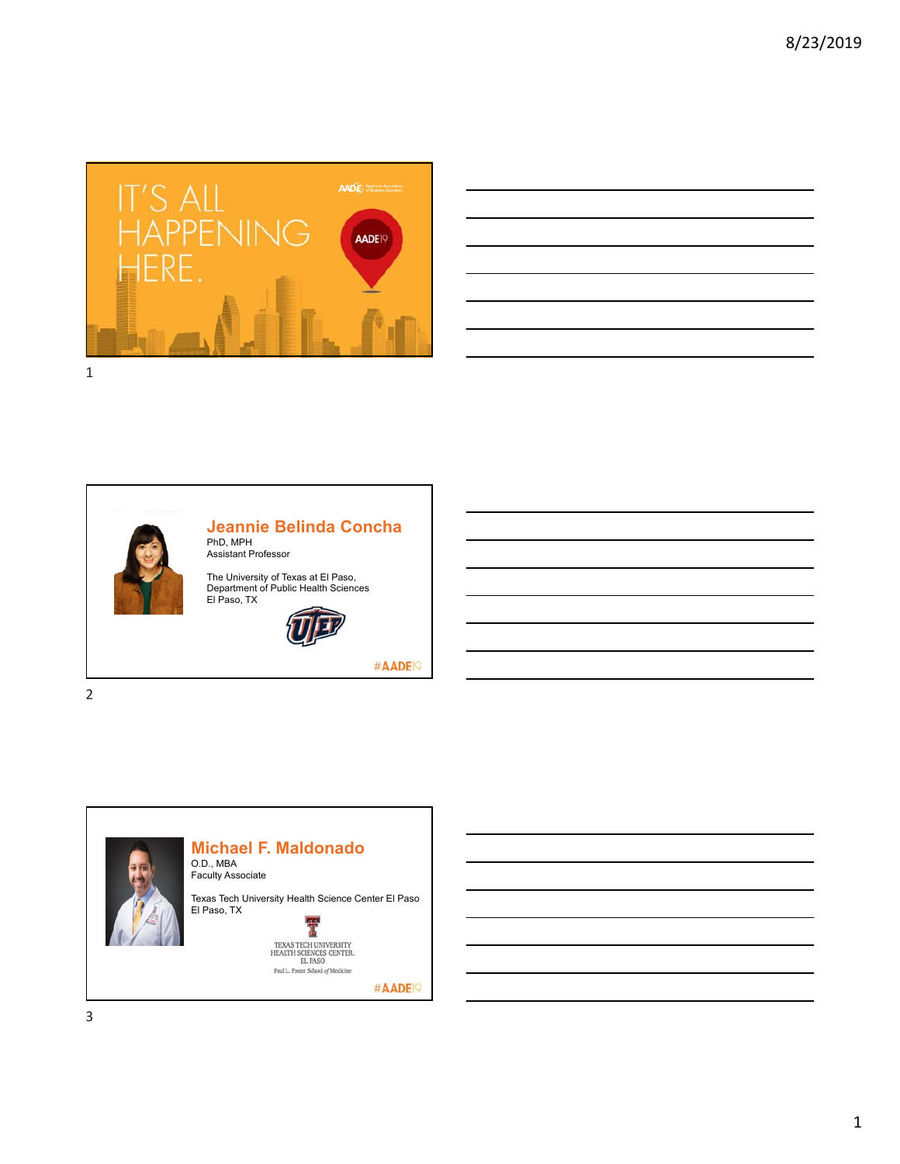

| a construction of the construction of the construction of the construction of the construction of the construction |                                  |
|--------------------------------------------------------------------------------------------------------------------|----------------------------------|
|                                                                                                                    |                                  |
|                                                                                                                    | <b>Service Contract Contract</b> |
|                                                                                                                    |                                  |
|                                                                                                                    |                                  |
|                                                                                                                    | <b>Contract Contract</b>         |
| the control of the control of the control of the control of the control of                                         |                                  |
|                                                                                                                    |                                  |



### **Jeannie Belinda Concha** PhD, MPH Assistant Professor

The University of Texas at El Paso, Department of Public Health Sciences El Paso, TX



#AADE<sup>19</sup>

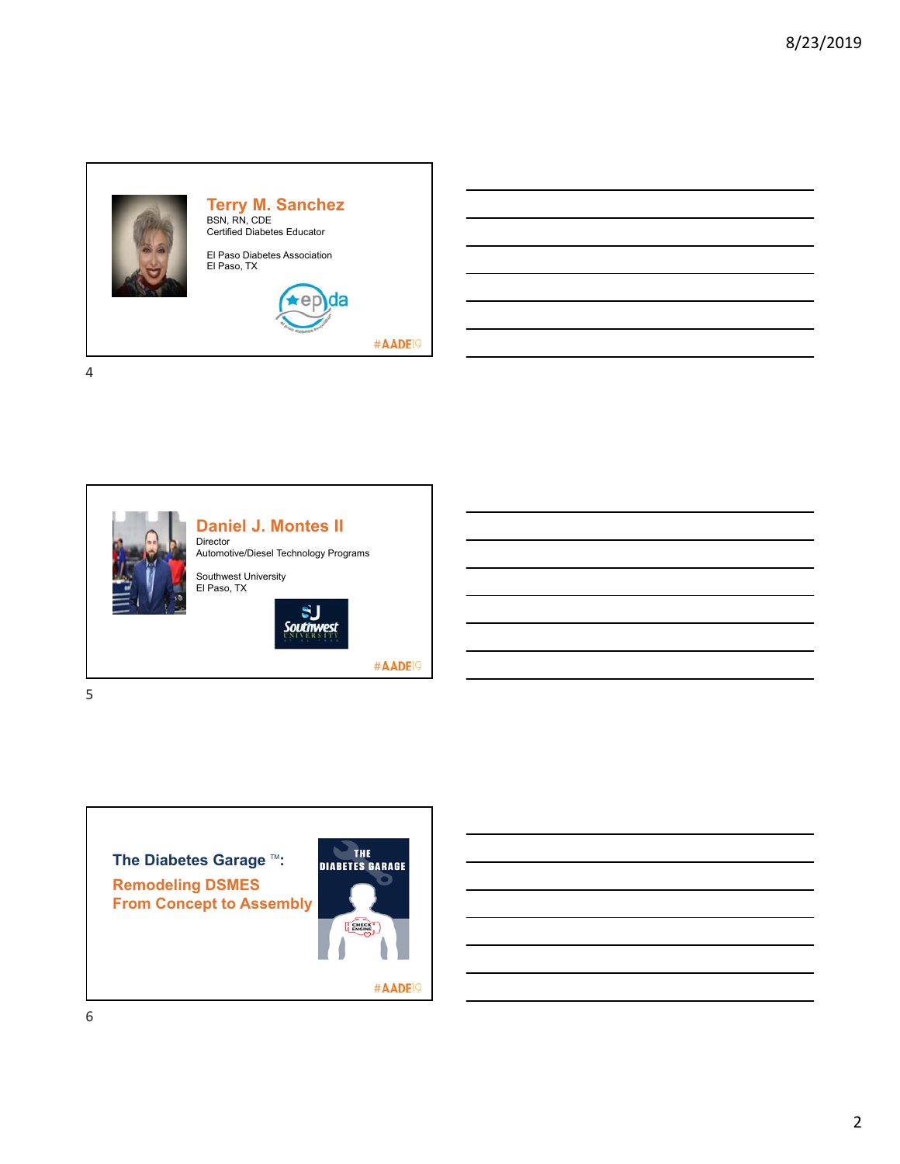



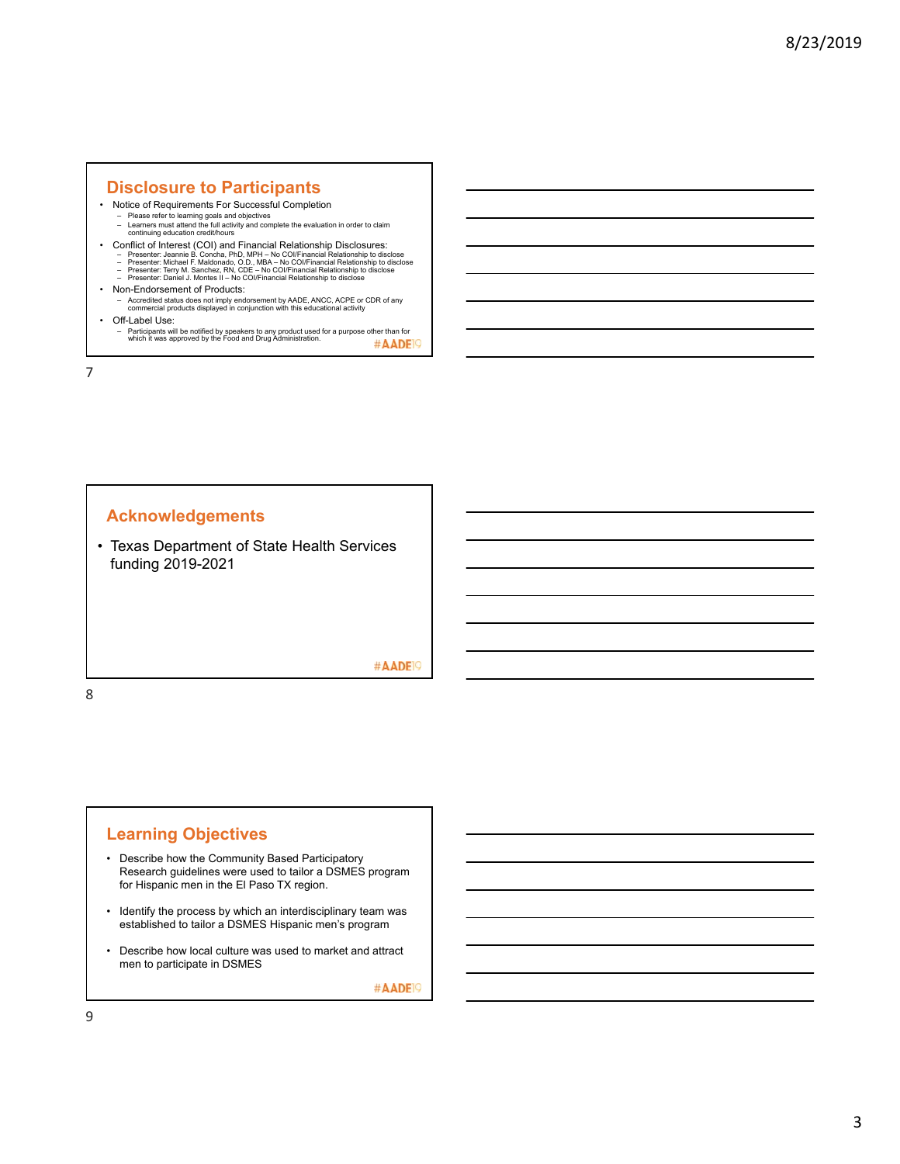# **Disclosure to Participants**

- Notice of Requirements For Successful Completion
	- Please refer to learning goals and objectives Learners must attend the full activity and complete the evaluation in order to claim continuing education credit/hours
- Conflict of Interest (COI) and Financial Relationship Disclosures:<br>- Presenter: Jeannie B. Concha, PhD, MPH No COl/Financial Relationship to disclose<br>- Presenter: Michael F. Maldonado, O.D., MBA No COl/Financial Rela
	-
- Non-Endorsement of Products:
	- Accredited status does not imply endorsement by AADE, ANCC, ACPE or CDR of any commercial products displayed in conjunction with this educational activity
- Off-Label Use:
	- Participants will be notified by speakers to any product used for a purpose other than for which it was approved by the Food and Drug Administration. #AADE<sup>19</sup>

7

# **Acknowledgements**

• Texas Department of State Health Services funding 2019-2021

### #AADE<sup>19</sup>

8

# **Learning Objectives**

- Describe how the Community Based Participatory Research guidelines were used to tailor a DSMES program for Hispanic men in the El Paso TX region.
- Identify the process by which an interdisciplinary team was established to tailor a DSMES Hispanic men's program
- Describe how local culture was used to market and attract men to participate in DSMES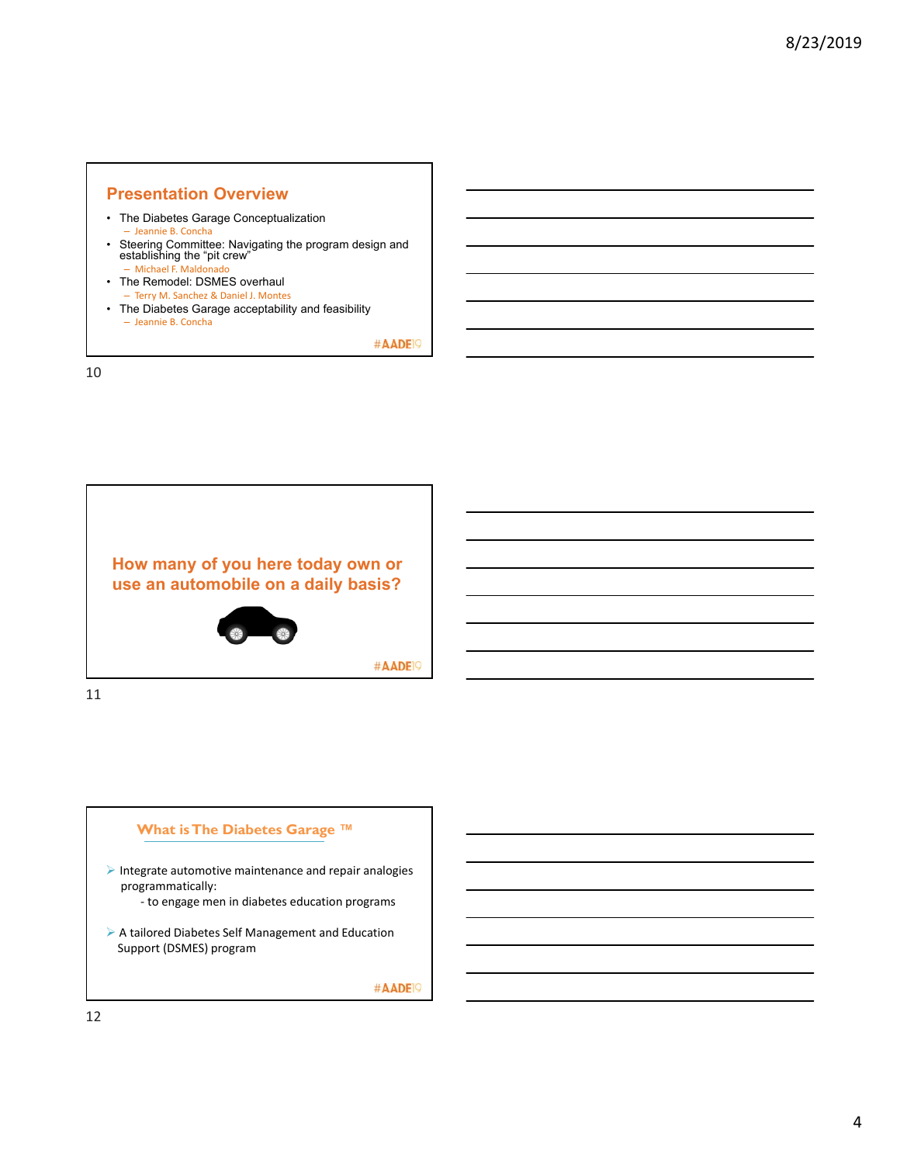### **Presentation Overview**

- The Diabetes Garage Conceptualization – Jeannie B. Concha
- Steering Committee: Navigating the program design and establishing the "pit crew" – Michael F. Maldonado
- The Remodel: DSMES overhaul – Terry M. Sanchez & Daniel J. Montes
- The Diabetes Garage acceptability and feasibility – Jeannie B. Concha

#AADE<sup>19</sup>

10



#AADE<sup>19</sup>

11

# **What is The Diabetes Garage ™**

- $\blacktriangleright$  Integrate automotive maintenance and repair analogies programmatically:
	- ‐ to engage men in diabetes education programs
- A tailored Diabetes Self Management and Education Support (DSMES) program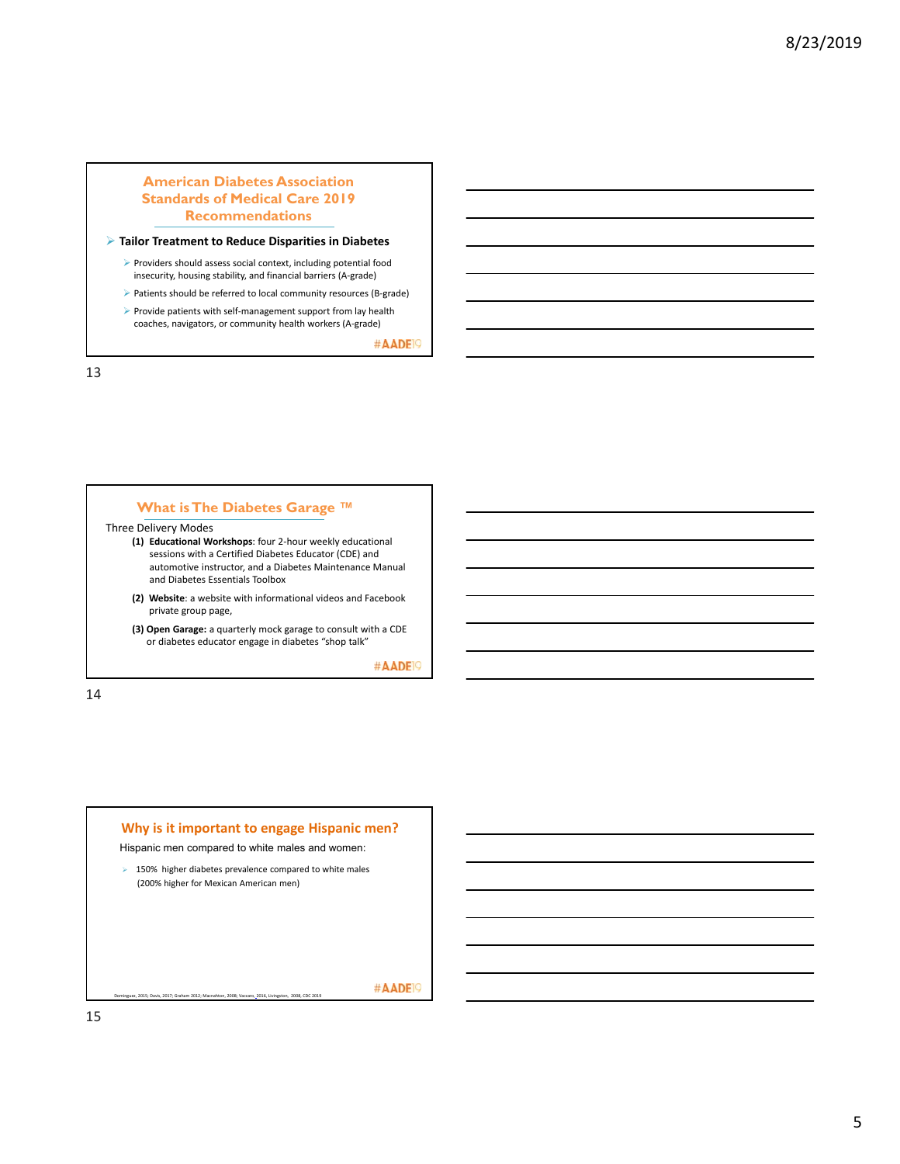### **American Diabetes Association Standards of Medical Care 2019 Recommendations**

#### **Tailor Treatment to Reduce Disparities in Diabetes**

- Providers should assess social context, including potential food insecurity, housing stability, and financial barriers (A‐grade)
- ▶ Patients should be referred to local community resources (B-grade)
- ▶ Provide patients with self-management support from lay health coaches, navigators, or community health workers (A‐grade)

#AADE<sup>19</sup>

13

### **What is The Diabetes Garage ™**

### Three Delivery Modes

- **(1) Educational Workshops**: four 2‐hour weekly educational sessions with a Certified Diabetes Educator (CDE) and automotive instructor, and a Diabetes Maintenance Manual and Diabetes Essentials Toolbox
- **(2) Website**: a website with informational videos and Facebook private group page,
- **(3) Open Garage:** a quarterly mock garage to consult with a CDE or diabetes educator engage in diabetes "shop talk"

#AADE<sup>19</sup>

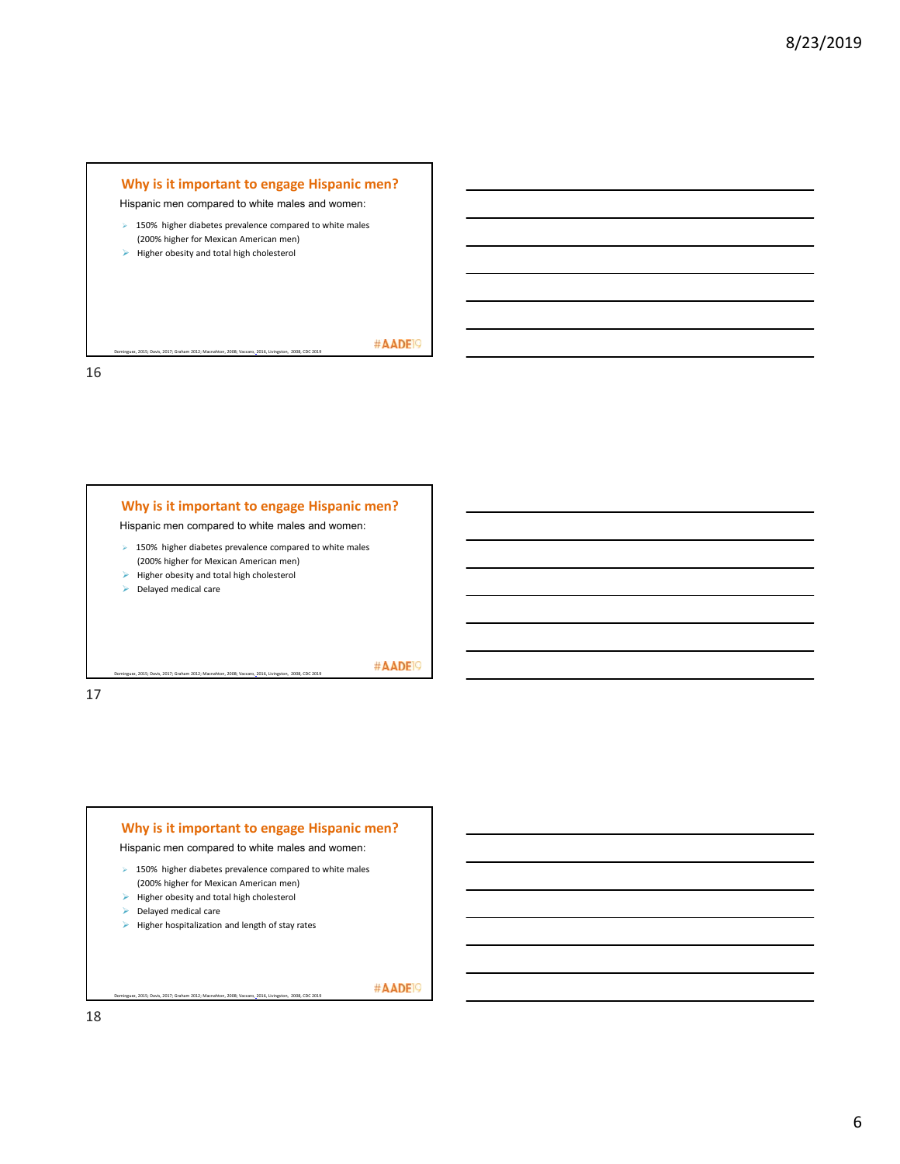



17



ez, 2015; Davis, 2017; Graham 2012; Macnahton, 2008; Vaccaro, 2016, Livingston, 2008, CDC 20

#AADE<sup>19</sup>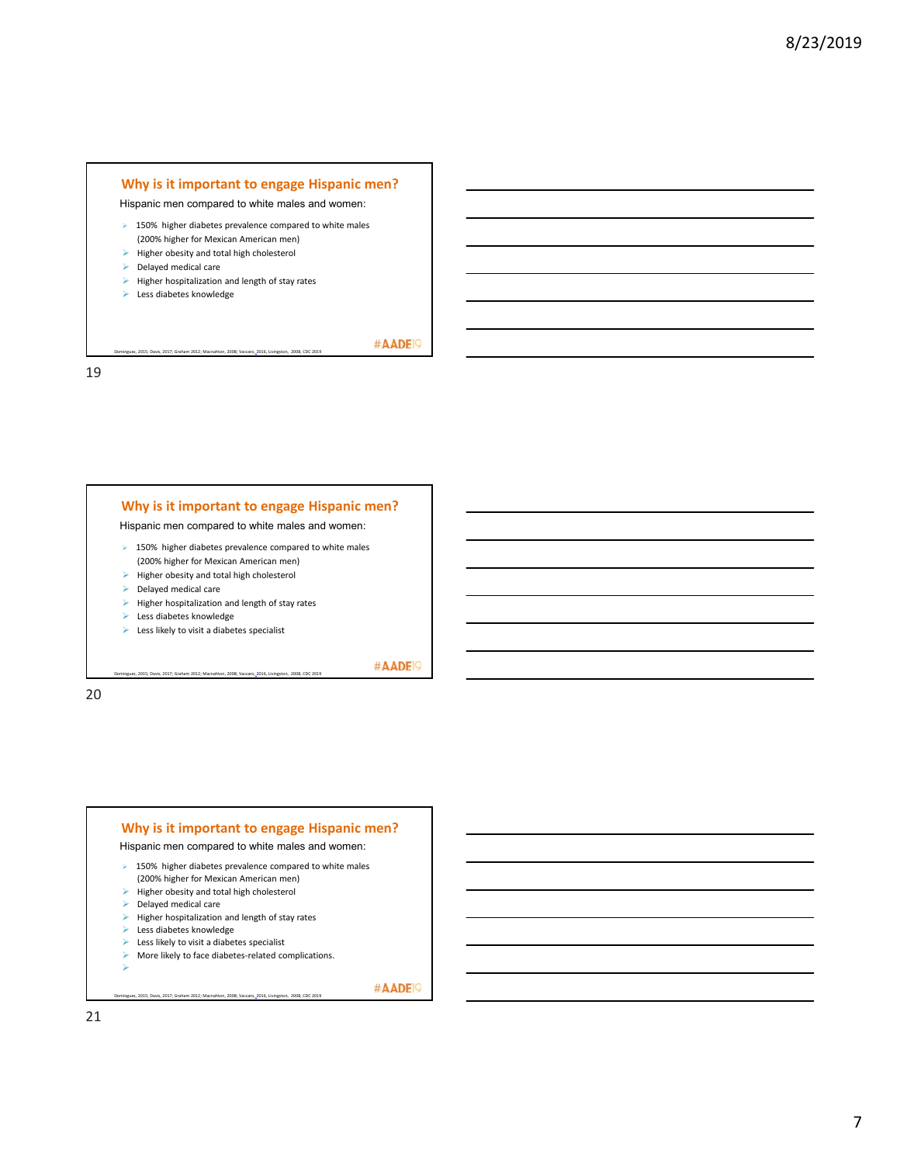### **Why is it important to engage Hispanic men?**

Hispanic men compared to white males and women:

- $\geq$  150% higher diabetes prevalence compared to white males (200% higher for Mexican American men)
- $\blacktriangleright$  Higher obesity and total high cholesterol
- Delayed medical care
- $\blacktriangleright$  Higher hospitalization and length of stay rates

uez, 2015; Davis, 2017; Graham 2012; Macnahton, 2008; Vaccaro, 2016, Livingston, 2008, CDC 201

Less diabetes knowledge

#AADE<sup>19</sup>

#AADE<sup>19</sup>

#AADE<sup>19</sup>

19

# **Why is it important to engage Hispanic men?**

Hispanic men compared to white males and women:

- $\triangleright$  150% higher diabetes prevalence compared to white males (200% higher for Mexican American men)
- $\blacktriangleright$  Higher obesity and total high cholesterol
- Delayed medical care
- $\blacktriangleright$  Higher hospitalization and length of stay rates
- **Less diabetes knowledge**
- $\blacktriangleright$  Less likely to visit a diabetes specialist

Dominguez, 2015; Davis, 2017; Graham 2012; Macnahton, 2008; Vaccaro, 2016, Livingston, 2008, CDC 2019

20

#### **Why is it important to engage Hispanic men?** Hispanic men compared to white males and women:  $\geq$  150% higher diabetes prevalence compared to white males (200% higher for Mexican American men)  $\blacktriangleright$  Higher obesity and total high cholesterol Delayed medical care  $\blacktriangleright$  Higher hospitalization and length of stay rates Less diabetes knowledge  $\blacktriangleright$  Less likely to visit a diabetes specialist ▶ More likely to face diabetes-related complications. ⋗

uez, 2015; Davis, 2017; Graham 2012; Macnahton, 2008; Vaccaro, 2016, Livingston, 2008, CDC 201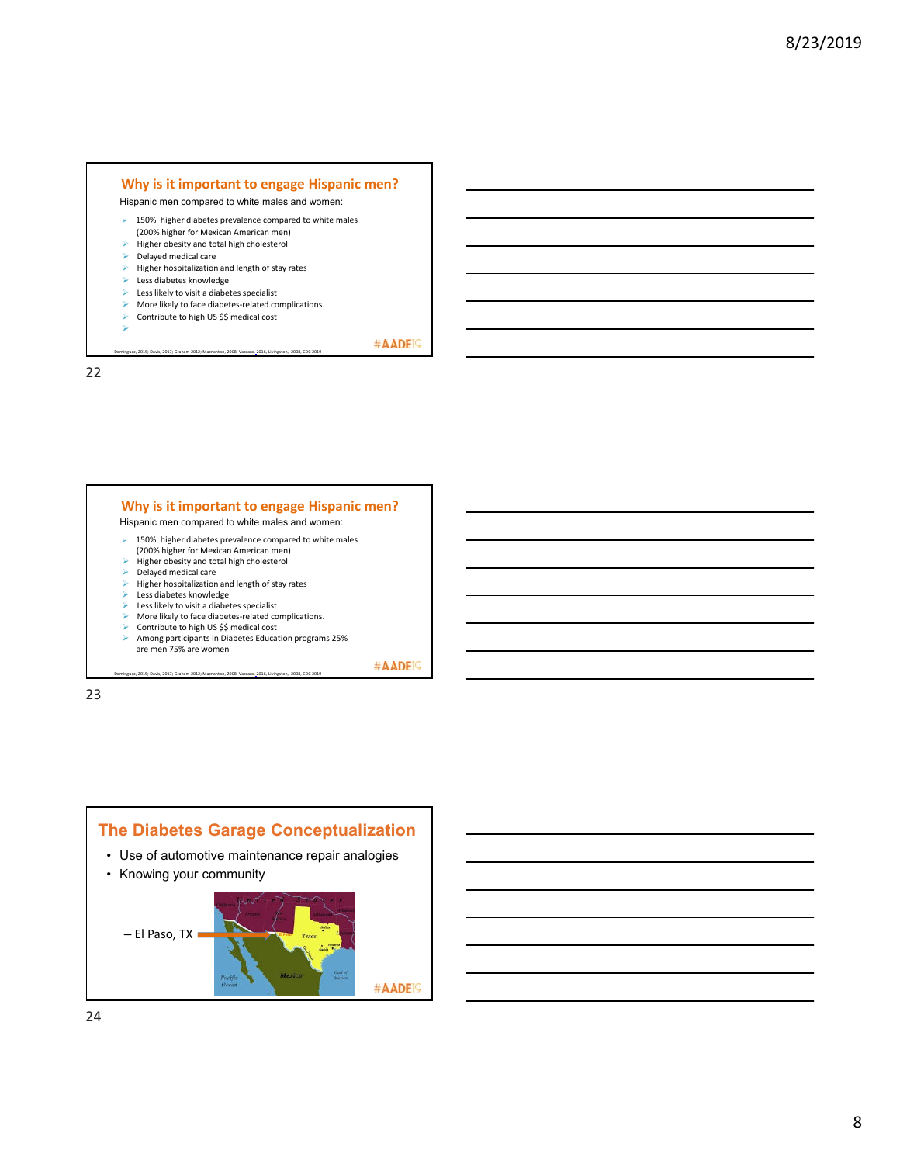### **Why is it important to engage Hispanic men?**

Hispanic men compared to white males and women:

- $\triangleright$  150% higher diabetes prevalence compared to white males
- (200% higher for Mexican American men)  $\blacktriangleright$  Higher obesity and total high cholesterol
- $\blacktriangleright$  Delayed medical care
- $\triangleright$  Higher hospitalization and length of stay rates
- $\blacktriangleright$  Less diabetes knowledge
- $\blacktriangleright$  Less likely to visit a diabetes specialist
- ▶ More likely to face diabetes-related complications.

Dominguez, 2015; Davis, 2017; Graham 2012; Macnahton, 2008; Vaccaro, 2016, Livingston, 2008, CDC 2019

Dominguez, 2015; Davis, 2017; Graham 2012; Macnahton, 2008; Vaccaro, 2016, Livingston, 2008, CDC 2019

▶ Contribute to high US \$\$ medical cost

⋗

#AADE<sup>19</sup>

22



#AADE<sup>19</sup>

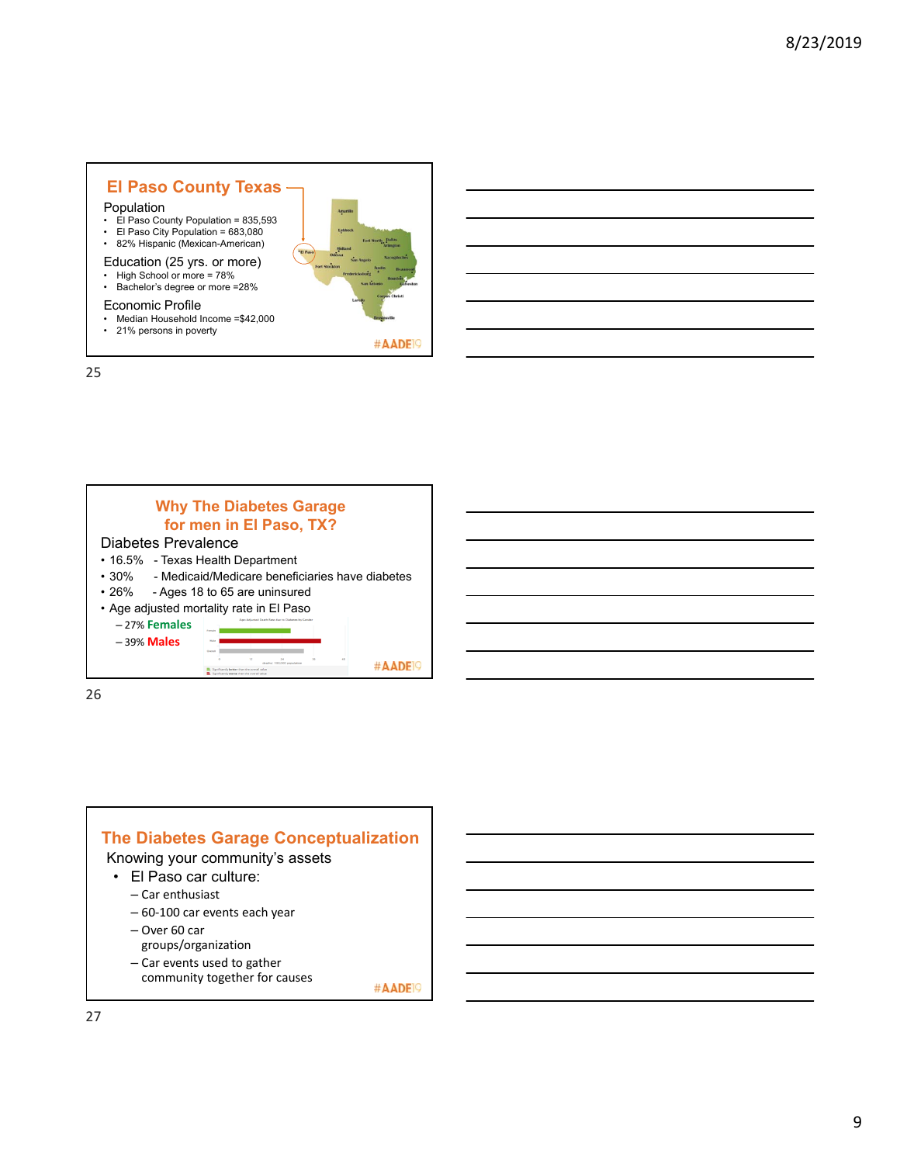# **El Paso County Texas**

### Population

- El Paso County Population = 835,593
- El Paso City Population = 683,080 82% Hispanic (Mexican-American)
- Education (25 yrs. or more)
- 
- High School or more = 78% Bachelor's degree or more =28%

### Economic Profile

- Median Household Income =\$42,000
- 21% persons in poverty

25



#AADE<sup>19</sup>

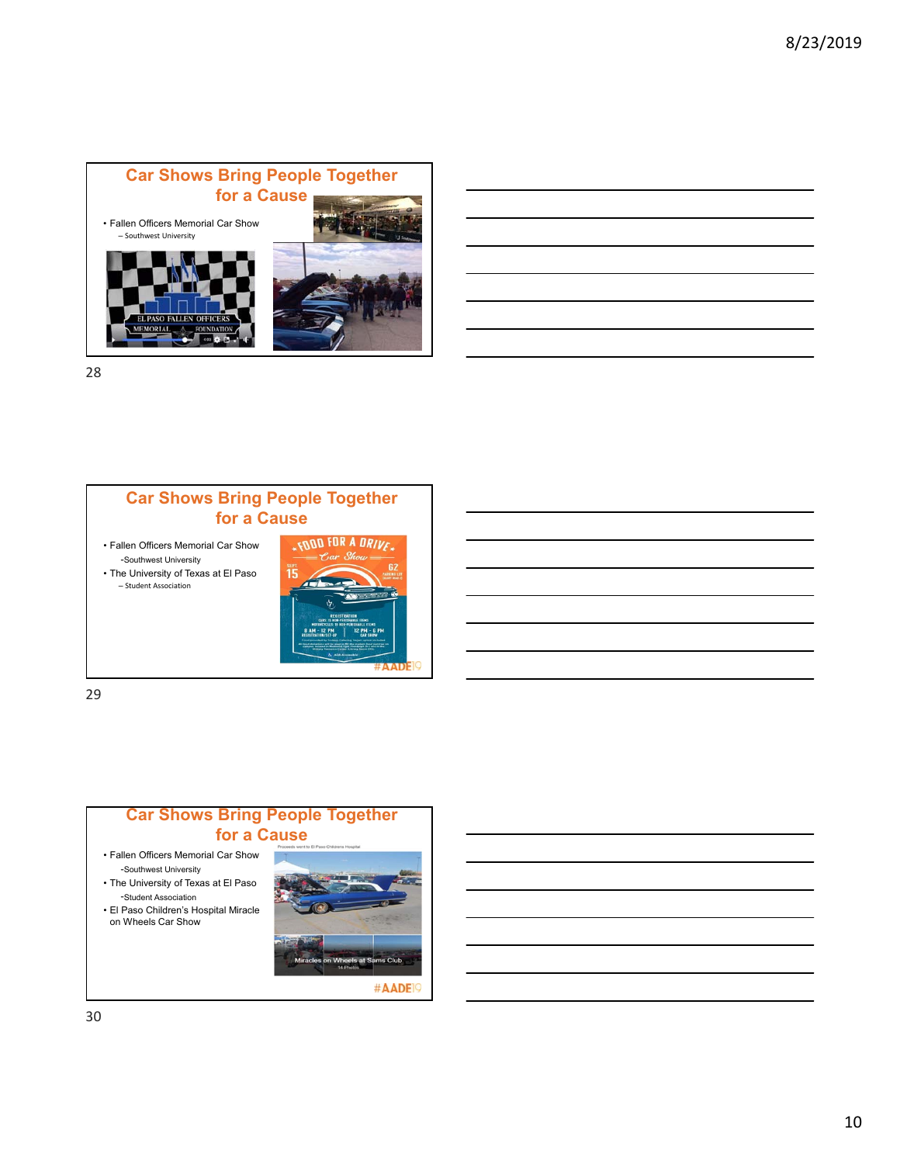

# **Car Shows Bring People Together for a Cause**

• Fallen Officers Memorial Car Show -Southwest University

• The University of Texas at El Paso – Student Association



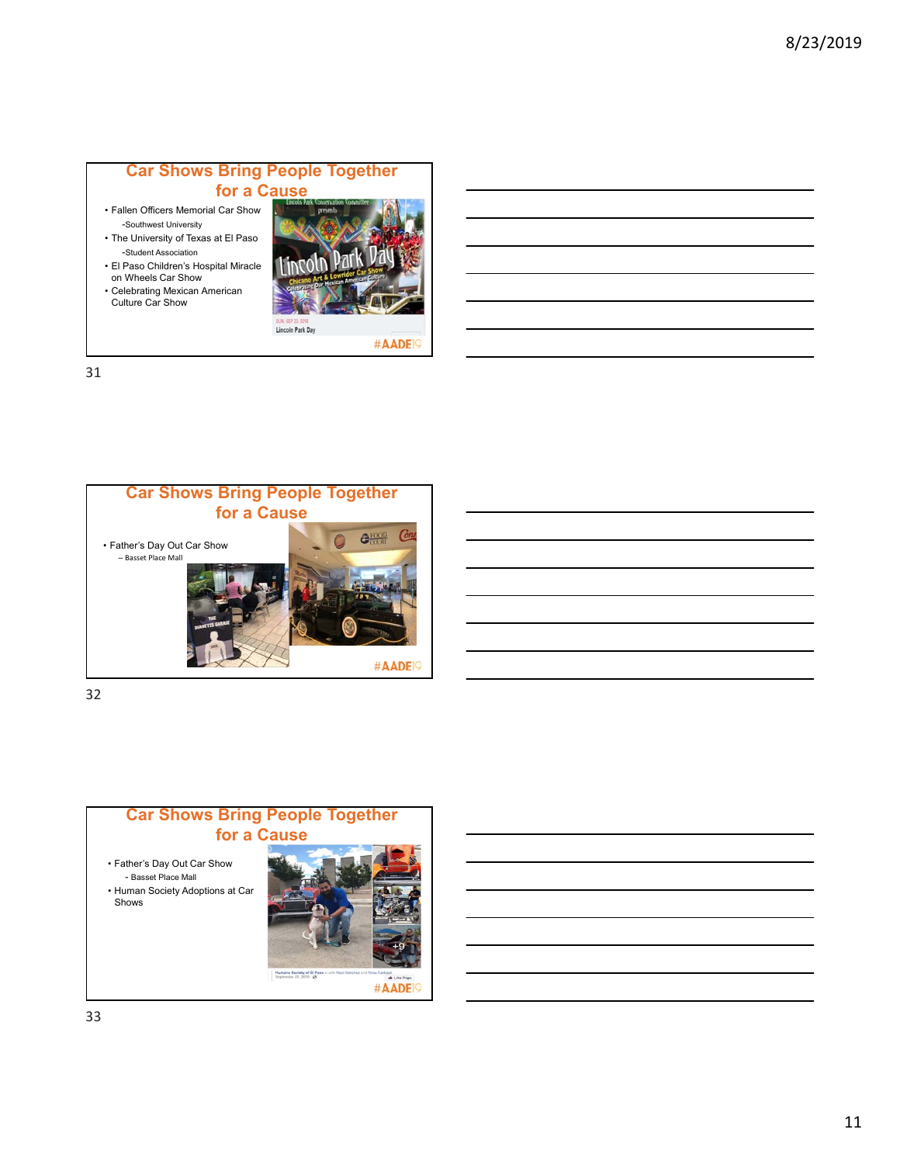# **Car Shows Bring People Together for a Cause**

- Fallen Officers Memorial Car Show -Southwest University
- The University of Texas at El Paso -Student Association
- El Paso Children's Hospital Miracle on Wheels Car Show
- Celebrating Mexican American Culture Car Show



#AADE<sup>19</sup>

31



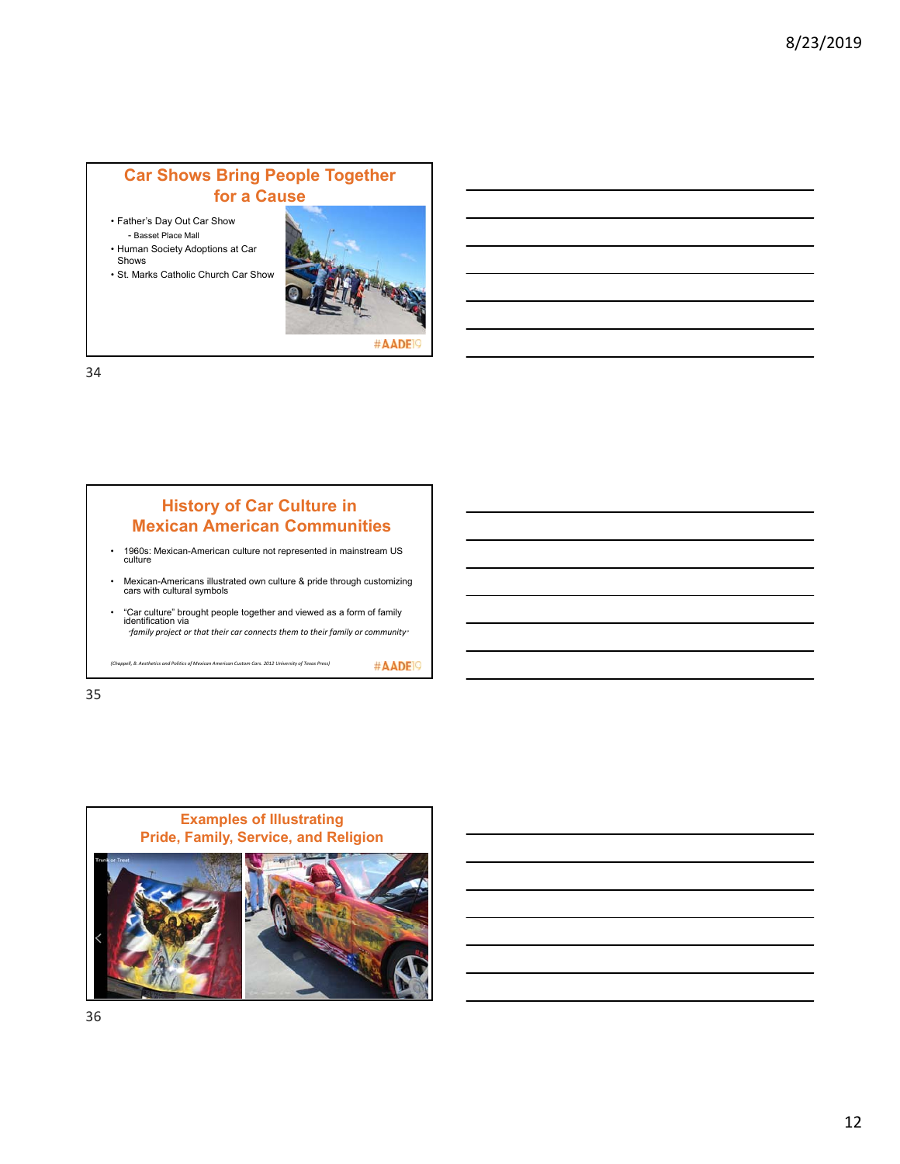# **Car Shows Bring People Together for a Cause**

- Father's Day Out Car Show - Basset Place Mall
- Human Society Adoptions at Car Shows
- St. Marks Catholic Church Car Show



#AADE

#AADE<sup>19</sup>

34

# **History of Car Culture in Mexican American Communities** • 1960s: Mexican-American culture not represented in mainstream US culture • Mexican-Americans illustrated own culture & pride through customizing cars with cultural symbols • "Car culture" brought people together and viewed as a form of family identification via *"family project or that their car connects them to their family or community"*

*(Chappell, B. Aesthetics and Politics of Mexican American Custom Cars. 2012 University of Texas Press)*

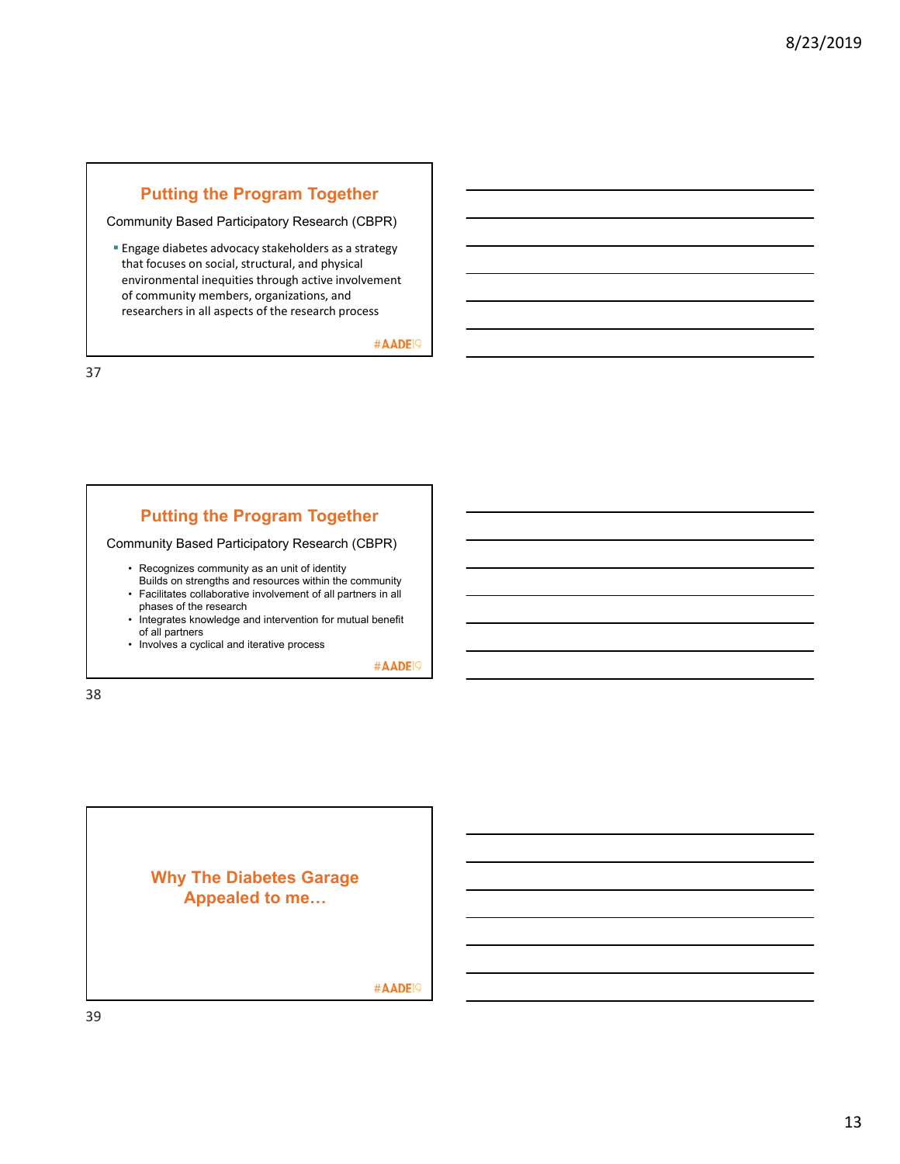# **Putting the Program Together**

Community Based Participatory Research (CBPR)

**Engage diabetes advocacy stakeholders as a strategy** that focuses on social, structural, and physical environmental inequities through active involvement of community members, organizations, and researchers in all aspects of the research process

#AADE<sup>19</sup>

37

# **Putting the Program Together**

Community Based Participatory Research (CBPR)

- Recognizes community as an unit of identity
- Builds on strengths and resources within the community • Facilitates collaborative involvement of all partners in all
- phases of the research • Integrates knowledge and intervention for mutual benefit
- of all partners

• Involves a cyclical and iterative process

#AADE<sup>19</sup>

38

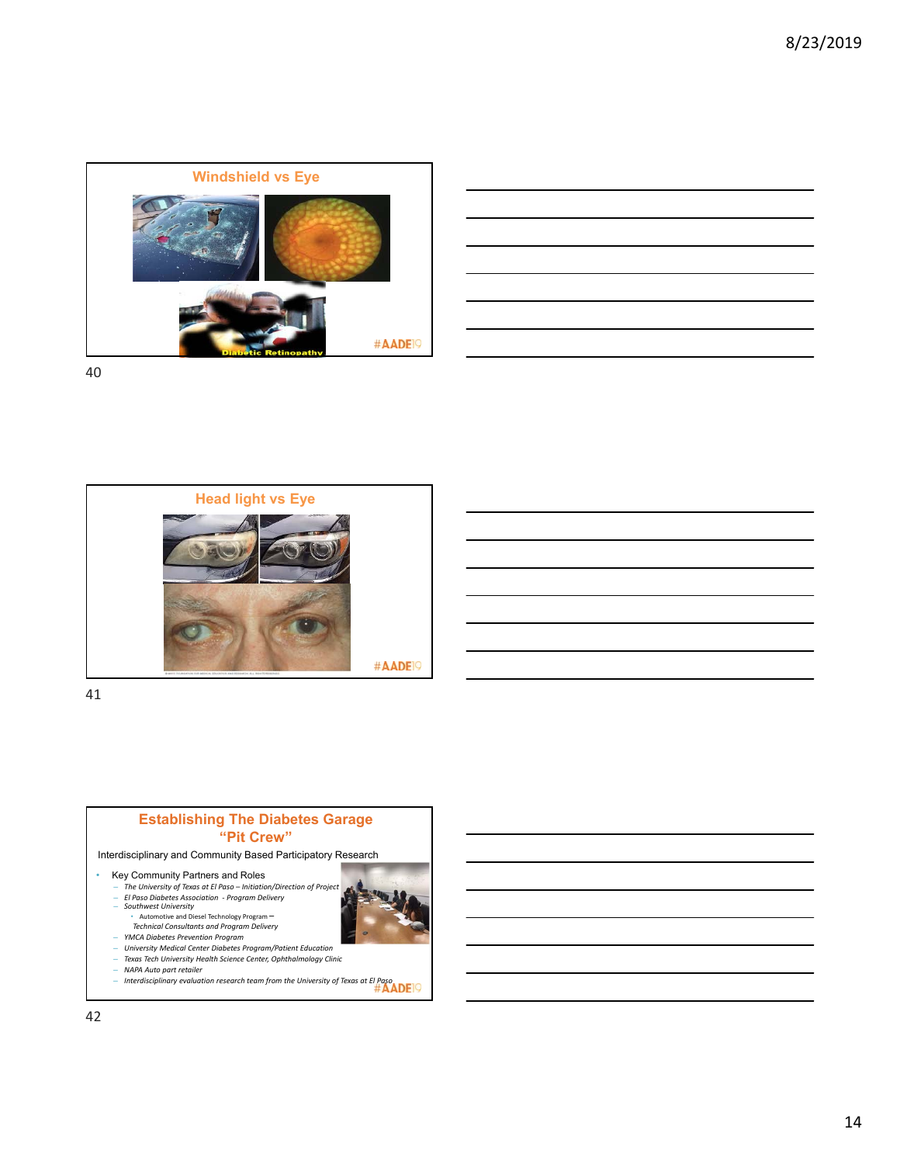

| <u> 1988 - Andrea Stadt Britain, amerikansk fotograf i stof i den større og stof i stof i stof i stof i stof i s</u> |                                                                                                                      |  |  |
|----------------------------------------------------------------------------------------------------------------------|----------------------------------------------------------------------------------------------------------------------|--|--|
|                                                                                                                      |                                                                                                                      |  |  |
|                                                                                                                      | <u> Andreas Andreas Andreas Andreas Andreas Andreas Andreas Andreas Andreas Andreas Andreas Andreas Andreas Andr</u> |  |  |
|                                                                                                                      | ,我们也不会有一个人的事情。""我们的人们是不是我们的人,我们也不会有一个人的人,我们也不会有一个人的人,我们也不会有一个人的人,我们也不会有一个人的人,我们也                                     |  |  |
|                                                                                                                      |                                                                                                                      |  |  |
|                                                                                                                      |                                                                                                                      |  |  |
|                                                                                                                      |                                                                                                                      |  |  |
|                                                                                                                      | <u> 1989 - Andrea Santa Andrea Andrea Andrea Andrea Andrea Andrea Andrea Andrea Andrea Andrea Andrea Andrea Andr</u> |  |  |



41



Interdisciplinary and Community Based Participatory Research

- Fey Community Partners and Roles<br>
The University of Texas at El Paso thitation/Direction of Project<br>
El Paso Diabetes Association Program Delivery<br>
Southwest University<br>
Automotive and Diesel Technology Program
	-
	-
	- *YMCA Diabetes Prevention Program University Medical Center Diabetes Program/Patient Education Texas Tech University Health Science Center, Ophthalmology Clinic NAPA Auto part retailer*
	-
	- *Interdisciplinary evaluation research team from the University of Texas at El Paso*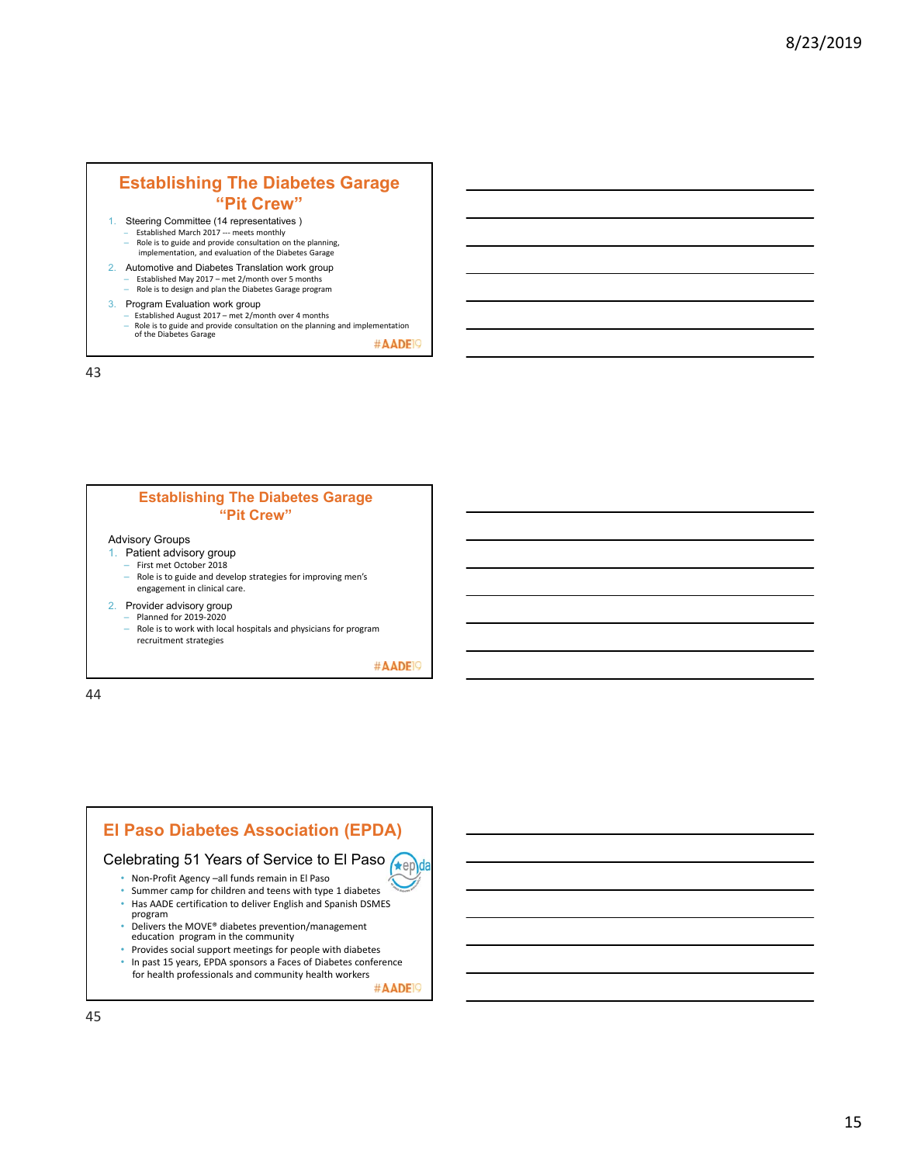# **Establishing The Diabetes Garage "Pit Crew"**

- 1. Steering Committee (14 representatives ) – Established March 2017 ‐‐‐ meets monthly
- Role is to guide and provide consultation on the planning, implementation, and evaluation of the Diabetes Garage 2. Automotive and Diabetes Translation work group – Established May 2017 – met 2/month over 5 months
- Role is to design and plan the Diabetes Garage program
- 3. Program Evaluation work group – Established August 2017 – met 2/month over 4 months – Role is to guide and provide consultation on the planning and implementation of the Diabetes Garage

#AADE<sup>19</sup>

43

### **Establishing The Diabetes Garage "Pit Crew"**

#### Advisory Groups

- 1. Patient advisory group
	- $-$  First met October 2018<br> $-$  Role is to guide and deve
	- Role is to guide and develop strategies for improving men's engagement in clinical care.

#### 2. Provider advisory group

- Planned for 2019‐2020
	- Role is to work with local hospitals and physicians for program recruitment strategies

#AADE<sup>19</sup>

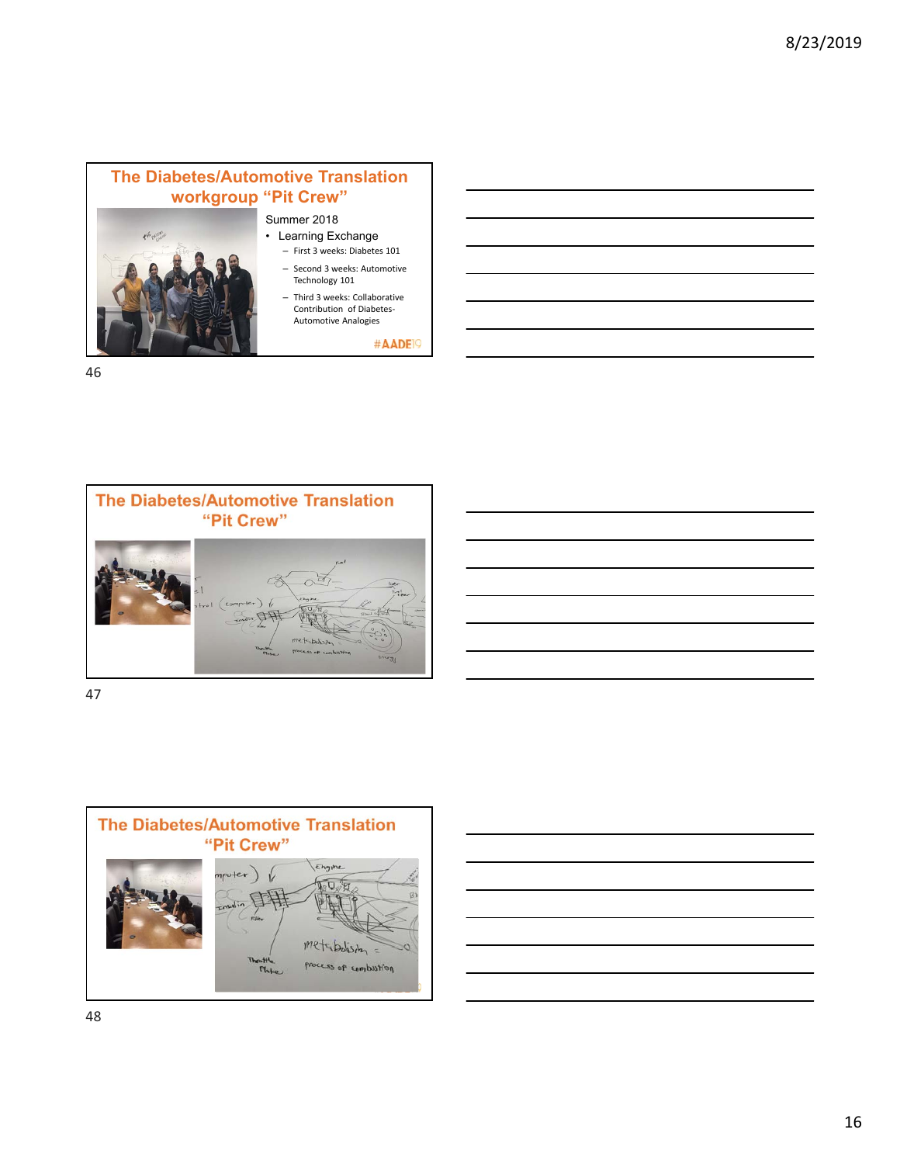



47



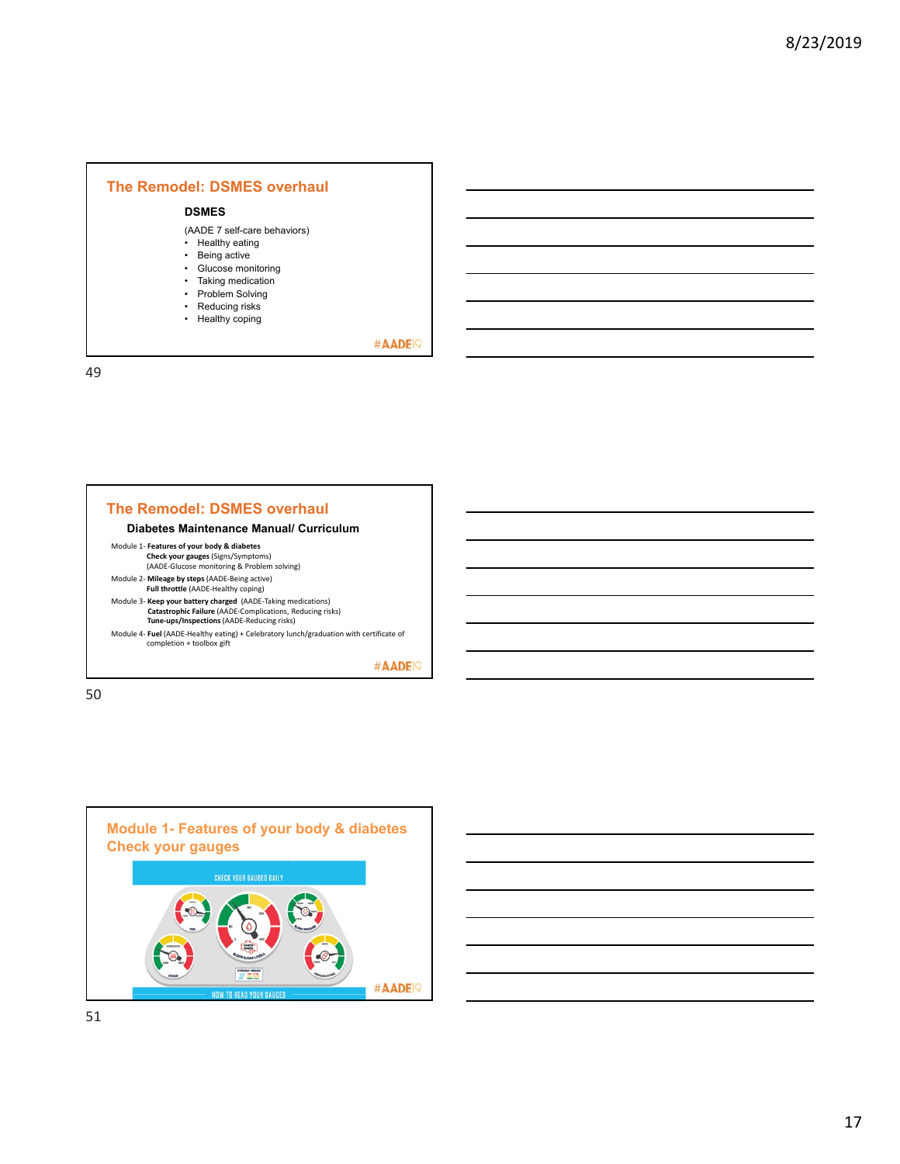### **The Remodel: DSMES overhaul**

# **DSMES**

(AADE 7 self-care behaviors)

- Healthy eating
- Being active
- Glucose monitoring • Taking medication
- Problem Solving
- Reducing risks
- Healthy coping

#AADE<sup>19</sup>

49





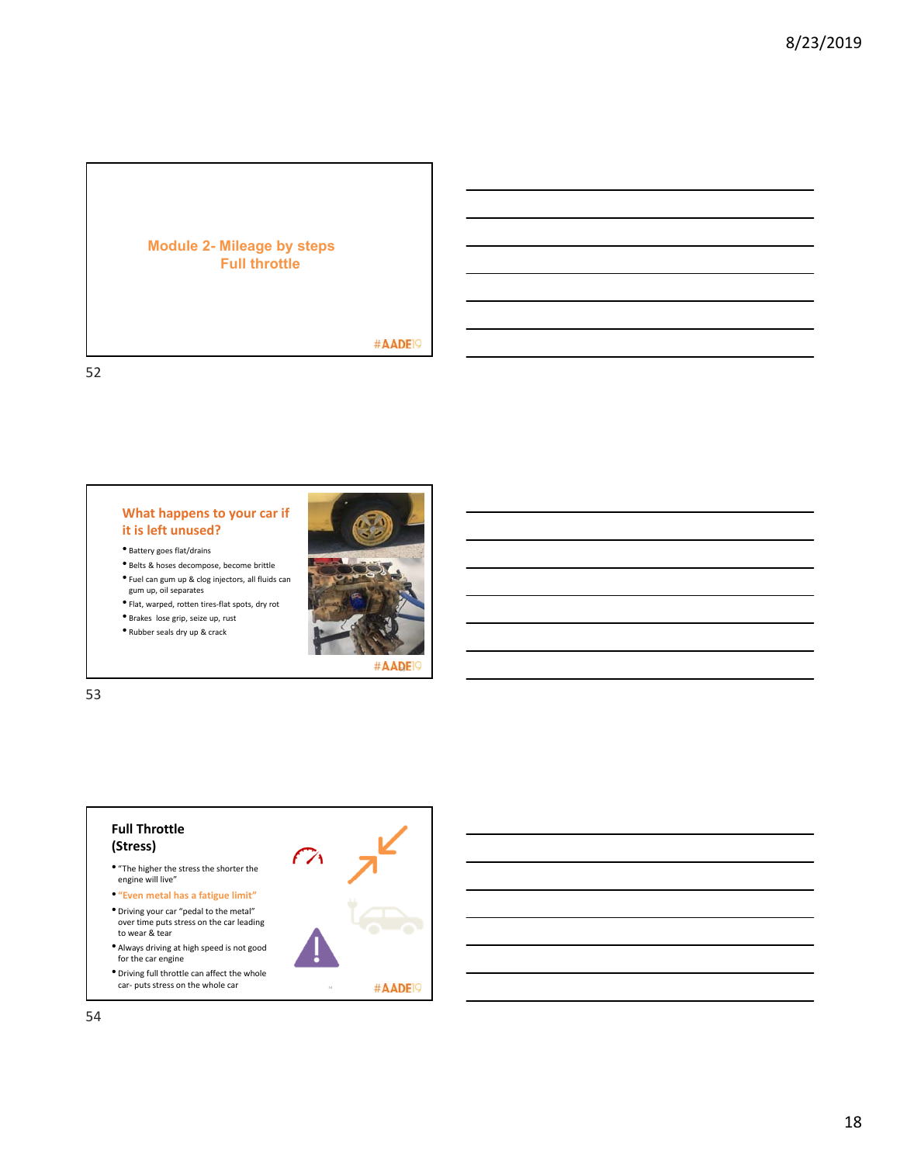### **Module 2- Mileage by steps Full throttle**

# #AADE<sup>19</sup>

52

### **What happens to your car if it is left unused?**

- Battery goes flat/drains
- Belts & hoses decompose, become brittle
- Fuel can gum up & clog injectors, all fluids can
- gum up, oil separates
- Flat, warped, rotten tires‐flat spots, dry rot • Brakes lose grip, seize up, rust
- Rubber seals dry up & crack



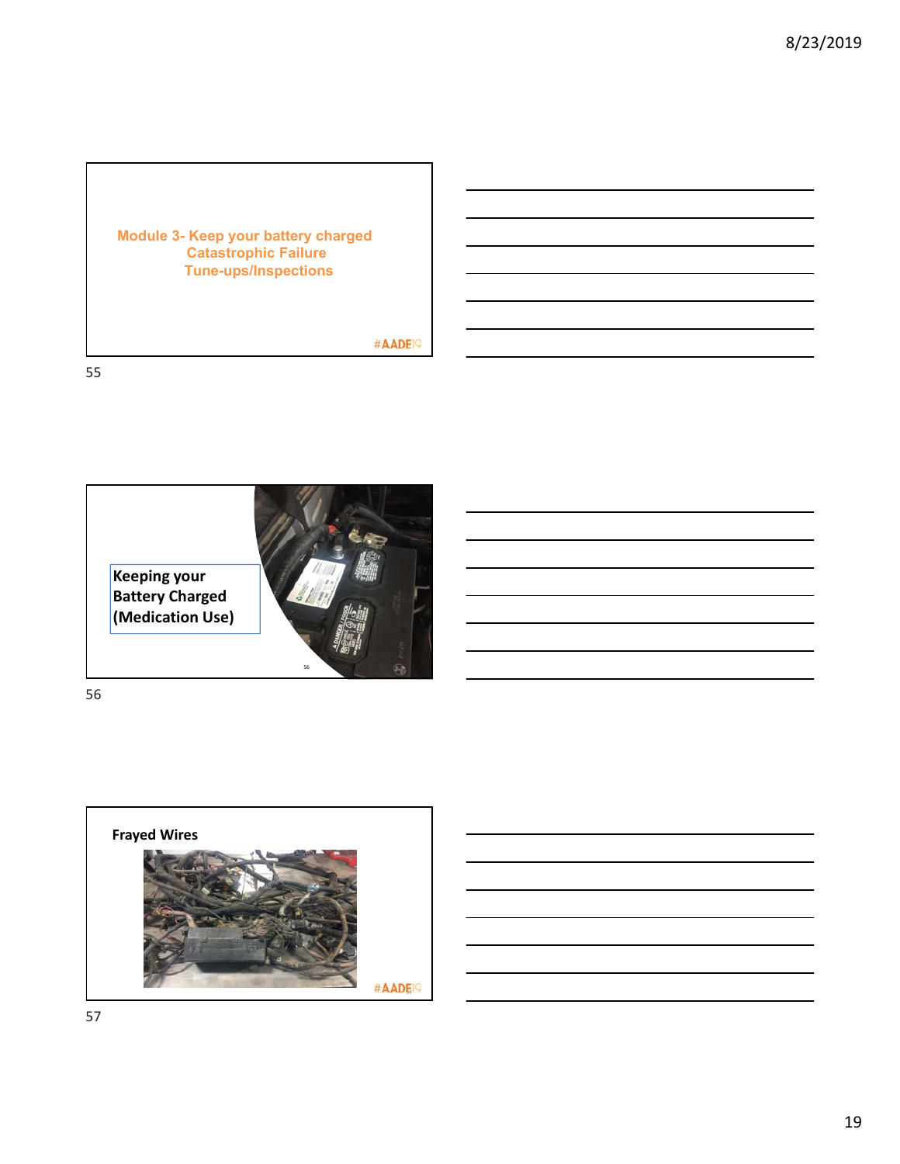## **Module 3- Keep your battery charged Catastrophic Failure Tune-ups/Inspections**

#AADE<sup>19</sup>

55



56

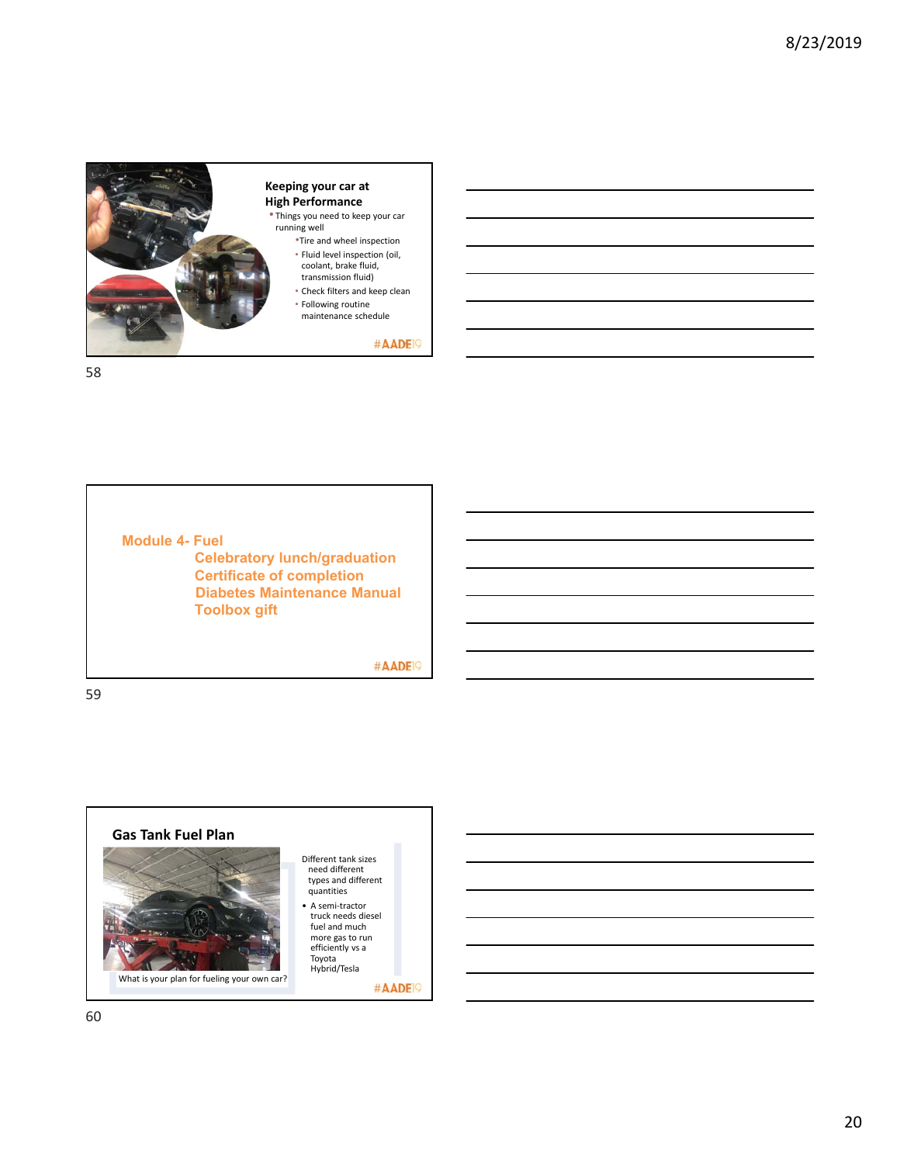

• Things you need to keep your car

- •Tire and wheel inspection • Fluid level inspection (oil, coolant, brake fluid,
- 
- 
- maintenance schedule

#AADE<sup>19</sup>

58

**Module 4- Fuel Celebratory lunch/graduation Certificate of completion Diabetes Maintenance Manual Toolbox gift**

#AADE<sup>19</sup>

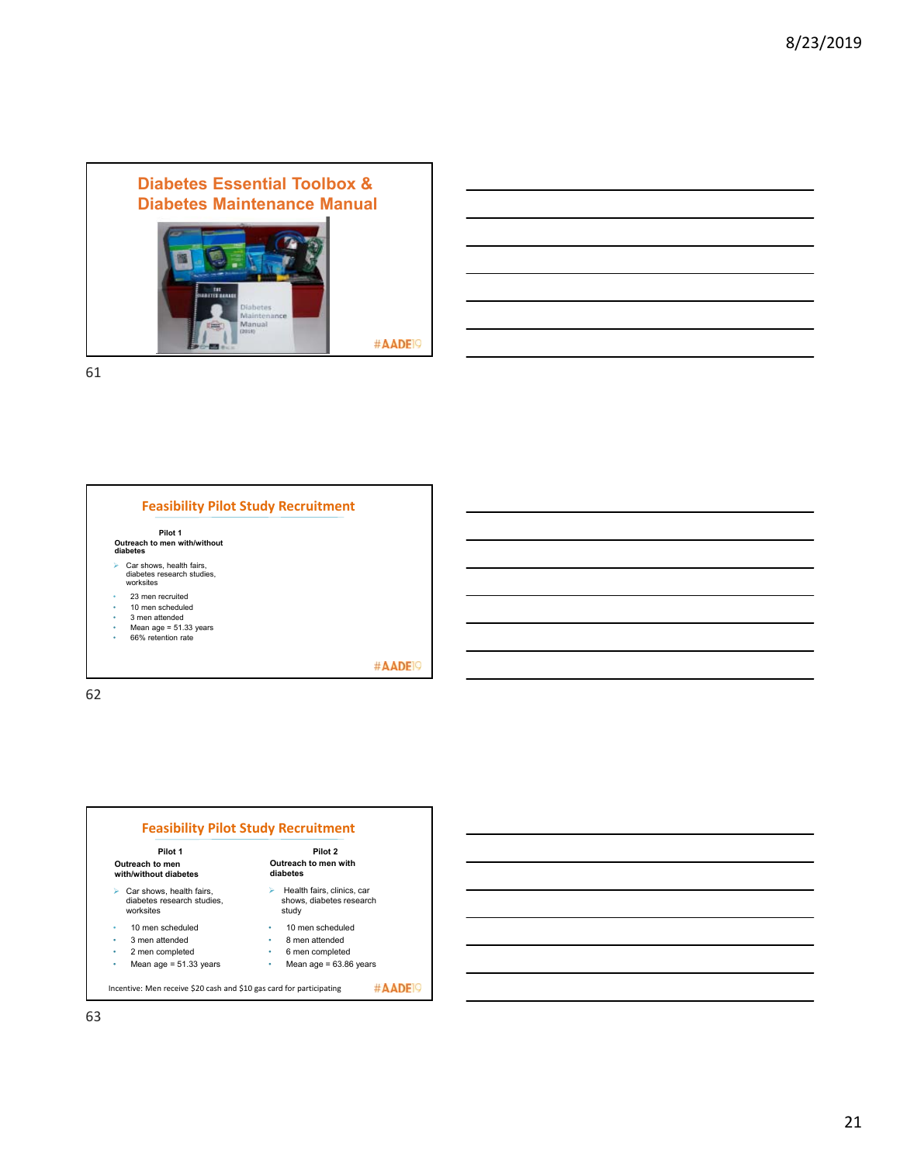





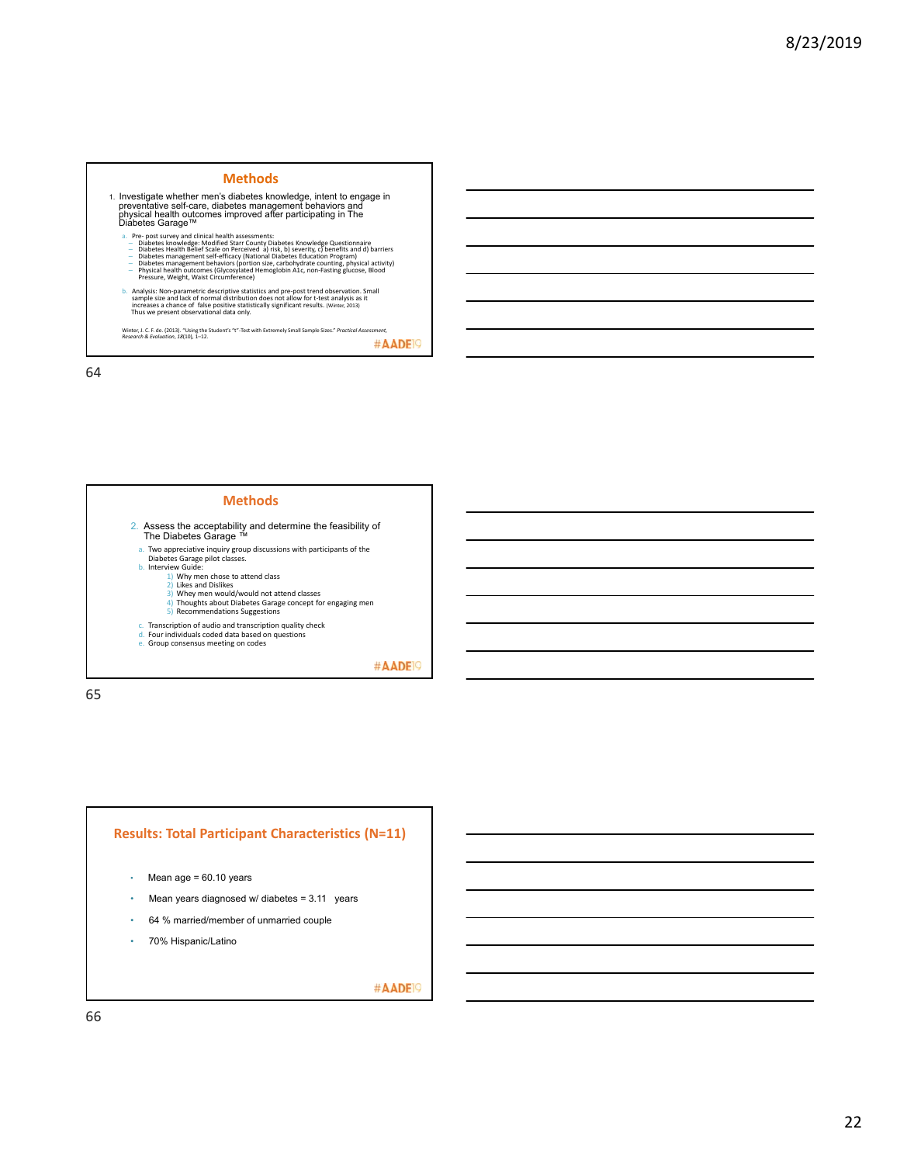#### **Methods**

1. Investigate whether men's diabetes knowledge, intent to engage in<br>preventative self-care, diabetes management behaviors and<br>physical health outcomes improved after participating in The<br>Diabetes Garage™

- 
- 
- a. Pre- post survey and clinical heath assessments.<br>
Diabetes knowledge: Modified Starr County Diabetes Knowledge Questionnaire<br>
Diabetes Health Belief Scale on Perceived a) risk, b) severity, c) benefits and d) barrie
- b. Analysis: Non-parametric descriptive statistics and pre-post trend observation. Small<br>stample size and lack of normal distribution does not allow for t-test analysis as it<br>increases a chance of false positive statistica

Winter, J. C. F. de. (2013). "Using the Student's "t"-Test with Extremely Small Sample Sizes." *Practical Assessment,* <br>*Research & Evaluation*, *18*(10), 1–12.

64

### **Methods**

- 2. Assess the acceptability and determine the feasibility of The Diabetes Garage ™
- 
- a. Two appreciative inquiry group discussions with participants of the Diabetes Garage pilot classes. b. Interview Guide:
	- -
		- 1) Why men chose to attend class 2) Likes and Dislikes 3) Whey men would/would not attend classes 4) Thoughts about Diabetes Garage concept for engaging men
		- 5) Recommendations Suggestions
- c. Transcription of audio and transcription quality check
- 
- d. Four individuals coded data based on questions e. Group consensus meeting on codes

#AADE<sup>19</sup>

65

### **Results: Total Participant Characteristics (N=11)**

- Mean age =  $60.10$  years
- Mean years diagnosed w/ diabetes = 3.11 years
- 64 % married/member of unmarried couple
- 70% Hispanic/Latino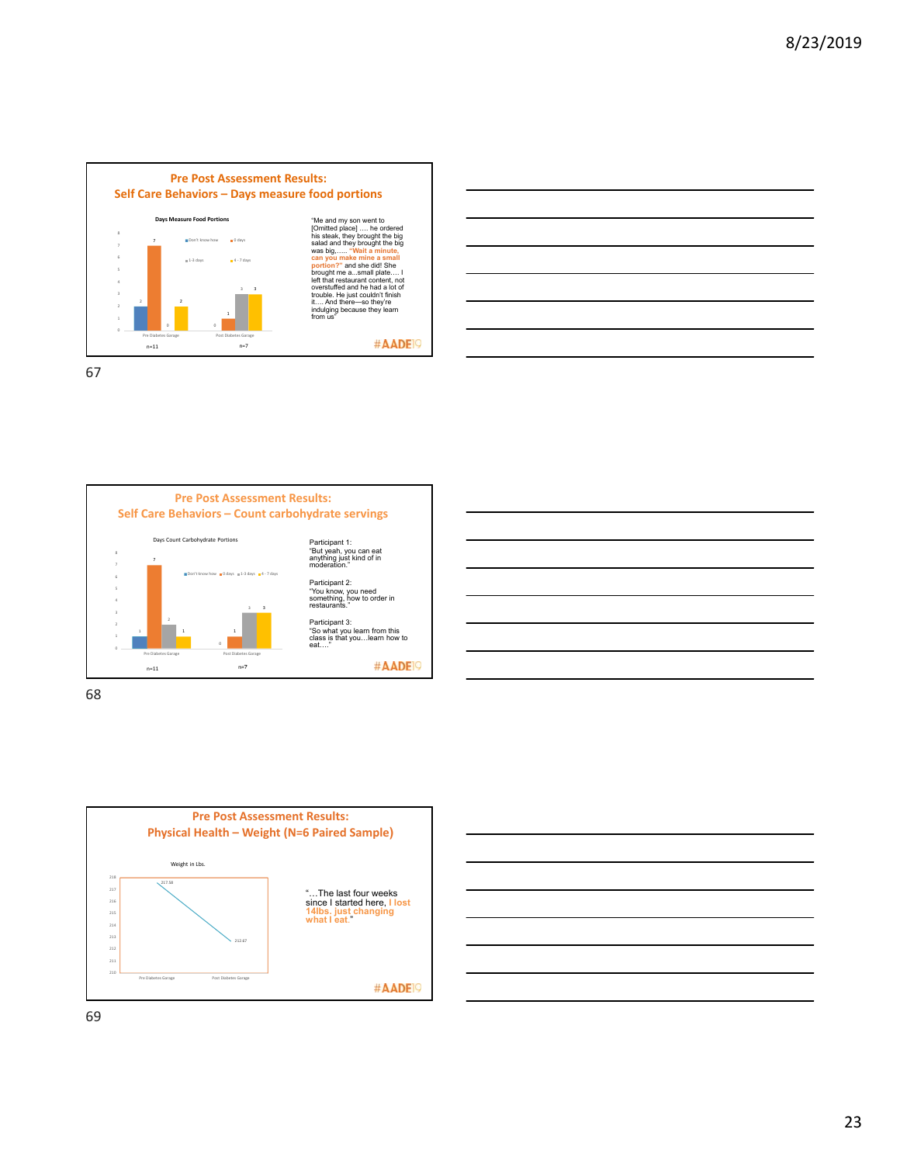









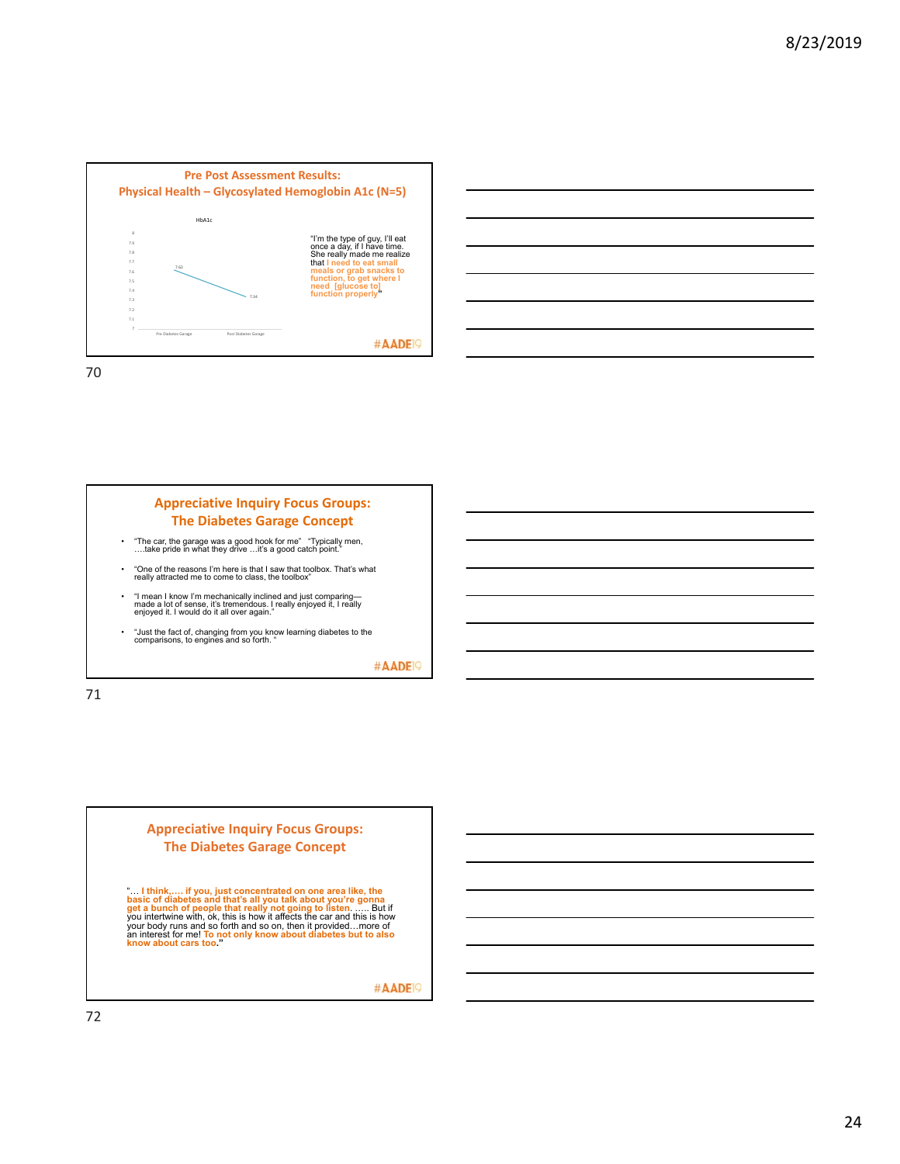





#AADE<sup>19</sup>

71

### **Appreciative Inquiry Focus Groups: The Diabetes Garage Concept**

".... I think,..... if you, just concentrated on one area like, the<br>basic of diabetes and that's all you talk about you're gonna<br>get a bunch of people that really not going to listen....... But if<br>you intertwine with, ok,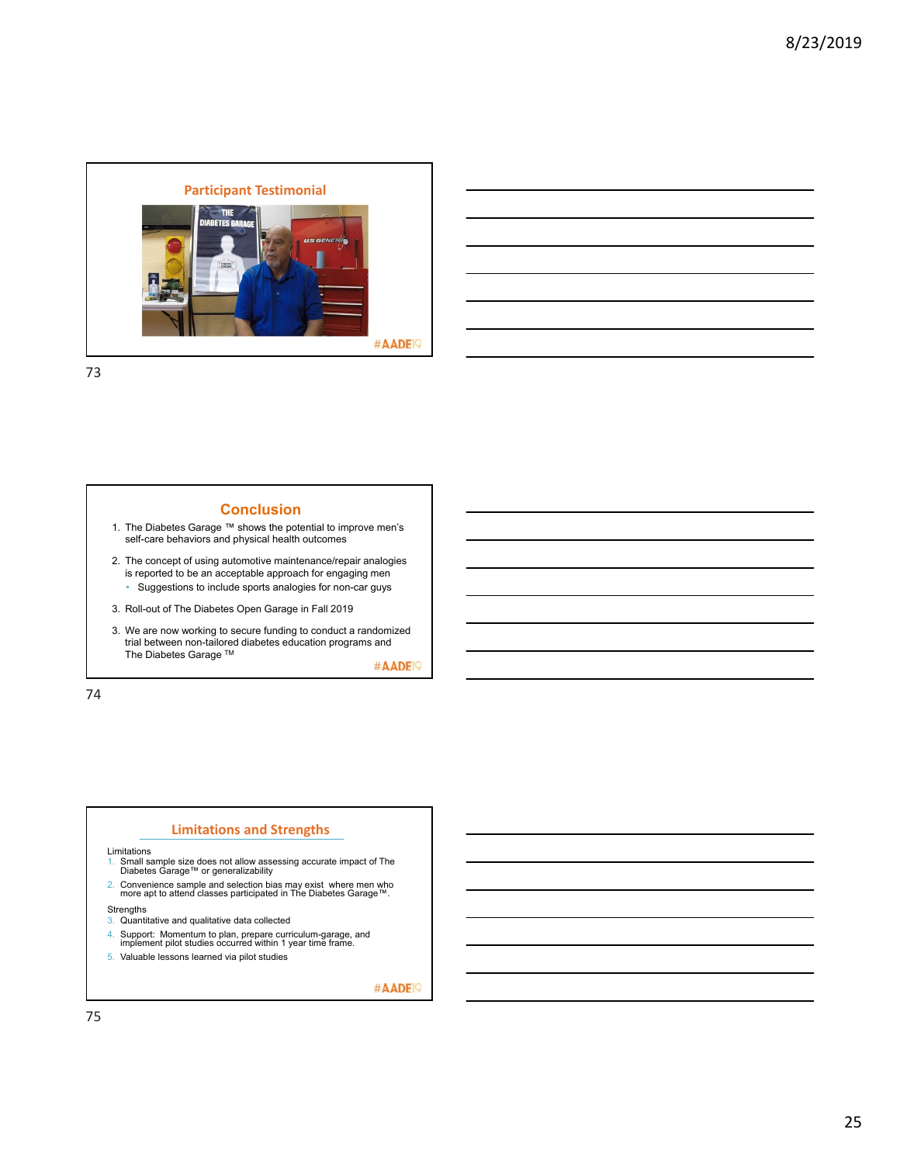

### **Conclusion**

- 1. The Diabetes Garage ™ shows the potential to improve men's self-care behaviors and physical health outcomes
- 2. The concept of using automotive maintenance/repair analogies is reported to be an acceptable approach for engaging men • Suggestions to include sports analogies for non-car guys
- 3. Roll-out of The Diabetes Open Garage in Fall 2019
- 3. We are now working to secure funding to conduct a randomized trial between non-tailored diabetes education programs and The Diabetes Garage ™

#AADE<sup>19</sup>

74

### **Limitations and Strengths**

Limitations

- 1. Small sample size does not allow assessing accurate impact of The Diabetes Garage™ or generalizability
- 2. Convenience sample and selection bias may exist where men who more apt to attend classes participated in The Diabetes Garage™.

- Strengths 3. Quantitative and qualitative data collected
- 4. Support: Momentum to plan, prepare curriculum-garage, and implement pilot studies occurred within 1 year time frame.
- 5. Valuable lessons learned via pilot studies
-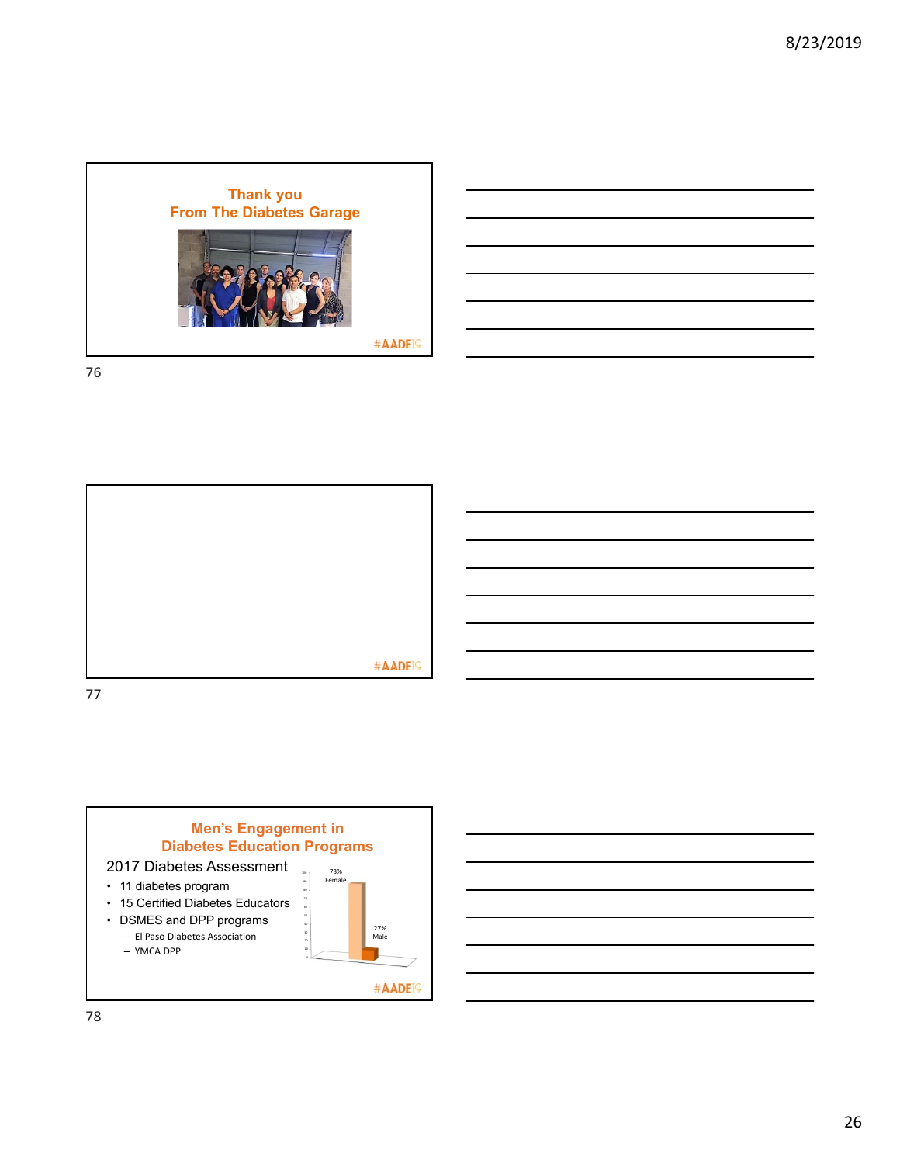



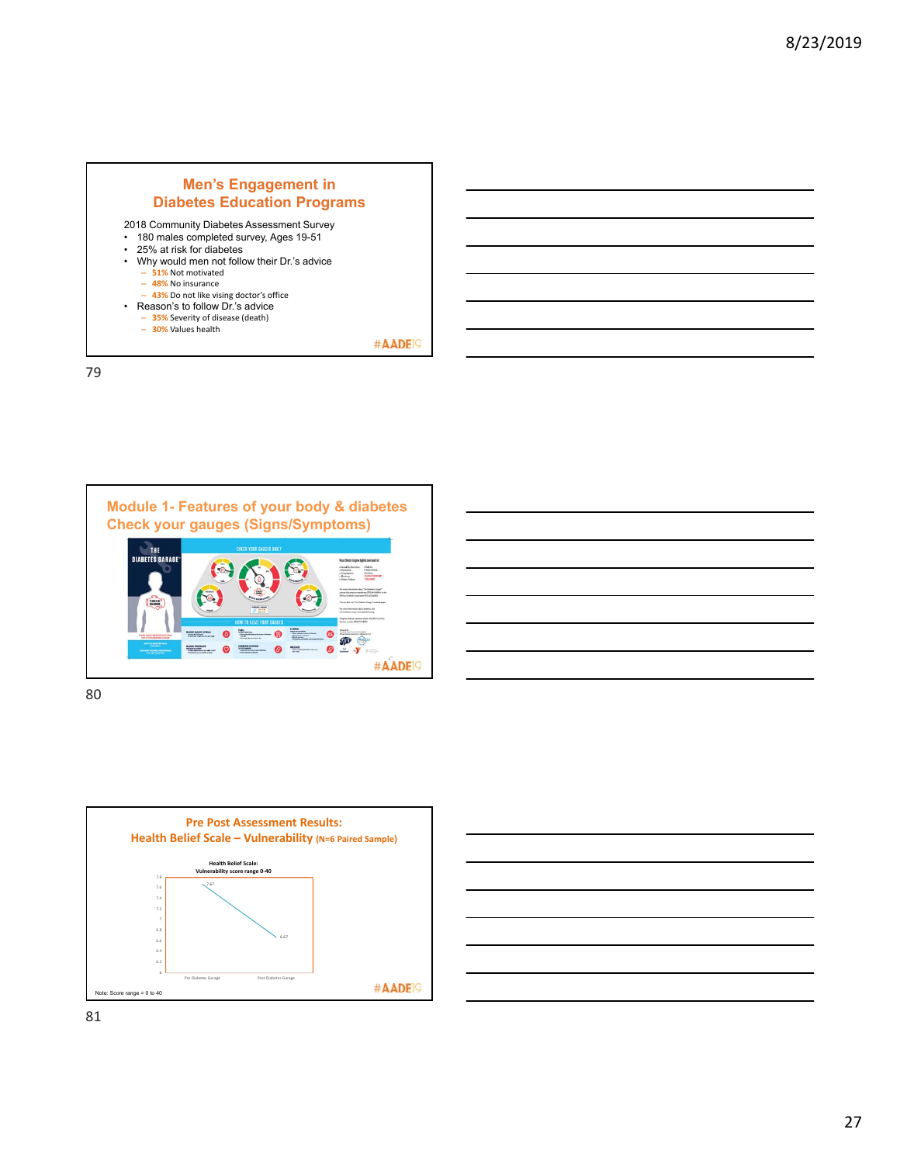



80